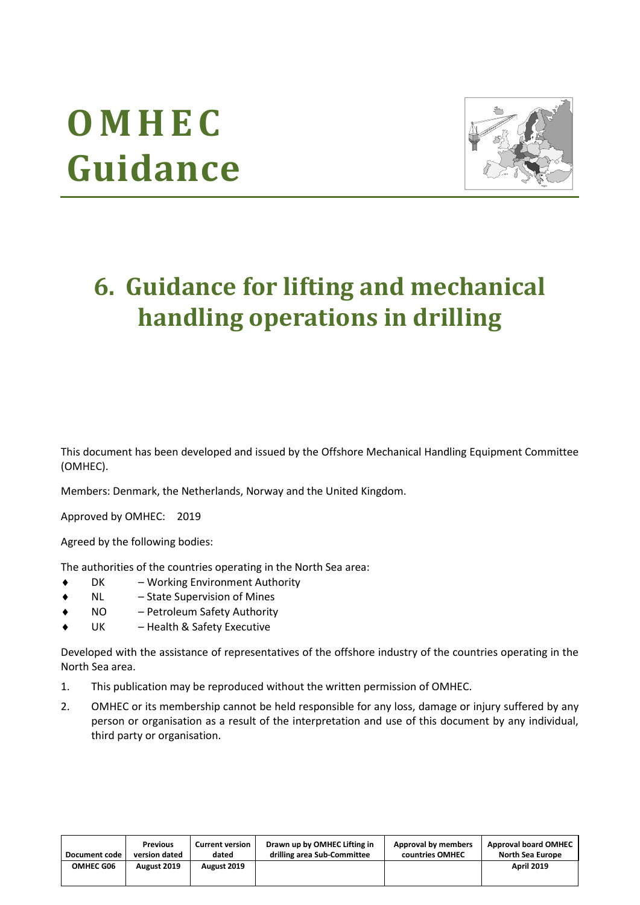# **O M H E C Guidance**



# **6. Guidance for lifting and mechanical handling operations in drilling**

This document has been developed and issued by the Offshore Mechanical Handling Equipment Committee (OMHEC).

Members: Denmark, the Netherlands, Norway and the United Kingdom.

Approved by OMHEC: 2019

Agreed by the following bodies:

The authorities of the countries operating in the North Sea area:

- DK Working Environment Authority
- NL State Supervision of Mines
- NO Petroleum Safety Authority
- UK Health & Safety Executive

Developed with the assistance of representatives of the offshore industry of the countries operating in the North Sea area.

- 1. This publication may be reproduced without the written permission of OMHEC.
- 2. OMHEC or its membership cannot be held responsible for any loss, damage or injury suffered by any person or organisation as a result of the interpretation and use of this document by any individual, third party or organisation.

| Document code | <b>Previous</b> | <b>Current version</b> | Drawn up by OMHEC Lifting in | Approval by members | <b>Approval board OMHEC</b> |
|---------------|-----------------|------------------------|------------------------------|---------------------|-----------------------------|
|               | version dated   | dated                  | drilling area Sub-Committee  | countries OMHEC     | North Sea Europe            |
| OMHEC G06     | August 2019     | August 2019            |                              |                     | <b>April 2019</b>           |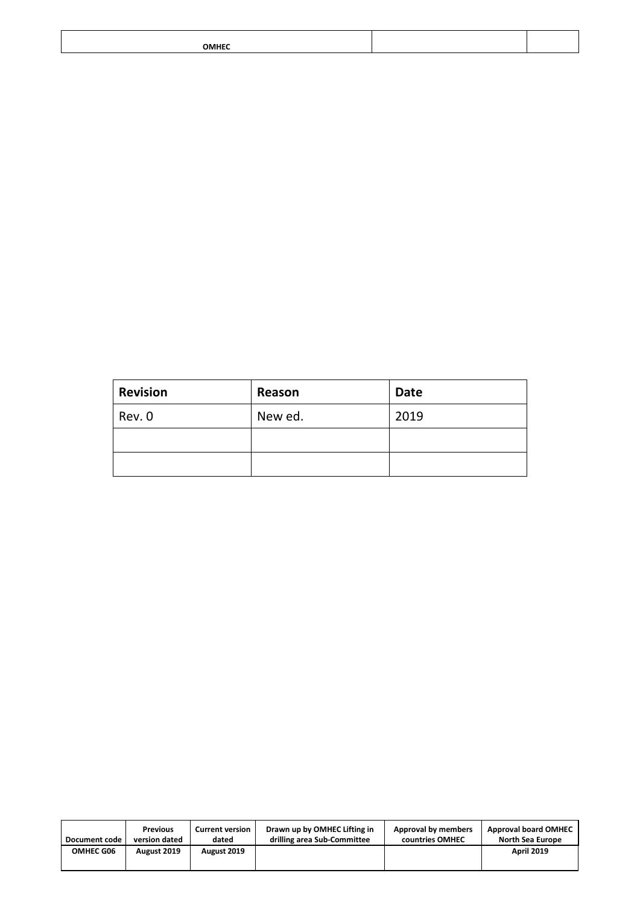| ОМНЕС<br>$\sim$ $\sim$ $\sim$ $\sim$ $\sim$ |  |
|---------------------------------------------|--|

| <b>Revision</b> | Reason  | <b>Date</b> |
|-----------------|---------|-------------|
| Rev. 0          | New ed. | 2019        |
|                 |         |             |
|                 |         |             |

| Document code    | <b>Previous</b> | <b>Current version</b> | Drawn up by OMHEC Lifting in | Approval by members | <b>Approval board OMHEC</b> |
|------------------|-----------------|------------------------|------------------------------|---------------------|-----------------------------|
|                  | version dated   | dated                  | drilling area Sub-Committee  | countries OMHEC     | North Sea Europe            |
| <b>OMHEC G06</b> | August 2019     | August 2019            |                              |                     | <b>April 2019</b>           |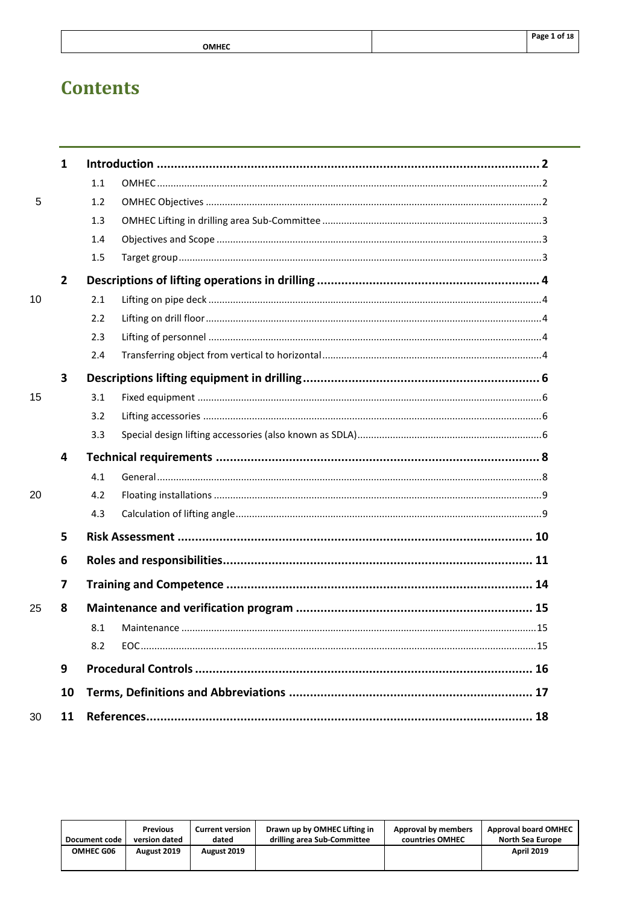|                        | Page 1 of 18 |
|------------------------|--------------|
| <b>OMHEC</b><br>______ |              |

# **Contents**

| $\mathbf{1}$            |     |  |
|-------------------------|-----|--|
|                         | 1.1 |  |
|                         | 1.2 |  |
|                         | 1.3 |  |
|                         | 1.4 |  |
|                         | 1.5 |  |
| $\overline{2}$          |     |  |
|                         | 2.1 |  |
|                         | 2.2 |  |
|                         | 2.3 |  |
|                         | 2.4 |  |
| $\overline{\mathbf{3}}$ |     |  |
|                         | 3.1 |  |
|                         | 3.2 |  |
|                         | 3.3 |  |
| 4                       |     |  |
|                         | 4.1 |  |
|                         | 4.2 |  |
|                         | 4.3 |  |
| 5                       |     |  |
| 6                       |     |  |
| 7                       |     |  |
| 8                       |     |  |
|                         | 8.1 |  |
|                         | 8.2 |  |
|                         |     |  |
| 9                       |     |  |
| 10                      |     |  |
|                         |     |  |

| Document code    | <b>Previous</b> | <b>Current version</b> | Drawn up by OMHEC Lifting in | Approval by members | <b>Approval board OMHEC</b> |
|------------------|-----------------|------------------------|------------------------------|---------------------|-----------------------------|
|                  | version dated   | dated                  | drilling area Sub-Committee  | countries OMHEC     | North Sea Europe            |
| <b>OMHEC G06</b> | August 2019     | August 2019            |                              |                     | <b>April 2019</b>           |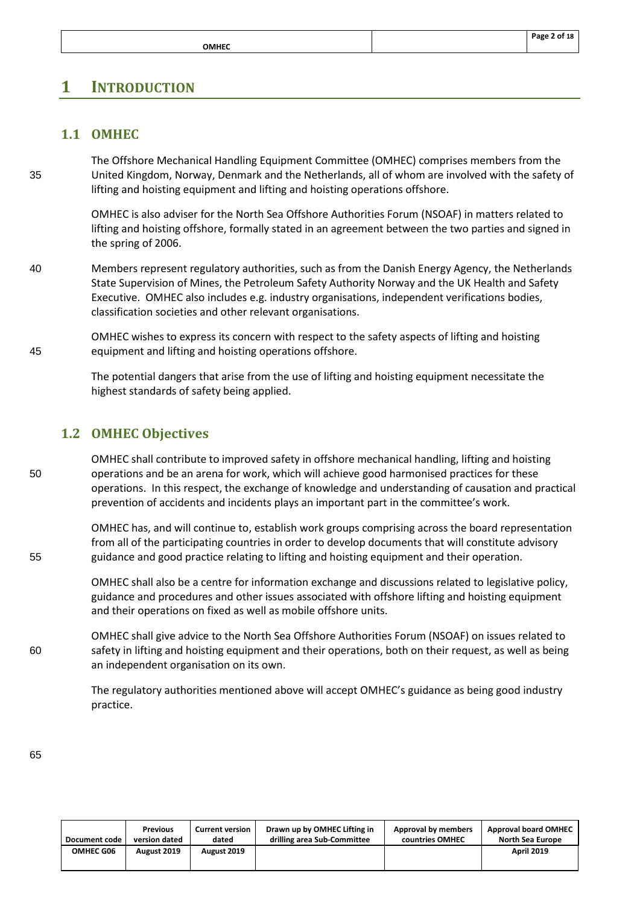# <span id="page-3-1"></span><span id="page-3-0"></span>**1 INTRODUCTION**

# **1.1 OMHEC**

The Offshore Mechanical Handling Equipment Committee (OMHEC) comprises members from the 35 United Kingdom, Norway, Denmark and the Netherlands, all of whom are involved with the safety of lifting and hoisting equipment and lifting and hoisting operations offshore.

> OMHEC is also adviser for the North Sea Offshore Authorities Forum (NSOAF) in matters related to lifting and hoisting offshore, formally stated in an agreement between the two parties and signed in the spring of 2006.

40 Members represent regulatory authorities, such as from the Danish Energy Agency, the Netherlands State Supervision of Mines, the Petroleum Safety Authority Norway and the UK Health and Safety Executive. OMHEC also includes e.g. industry organisations, independent verifications bodies, classification societies and other relevant organisations.

OMHEC wishes to express its concern with respect to the safety aspects of lifting and hoisting 45 equipment and lifting and hoisting operations offshore.

> The potential dangers that arise from the use of lifting and hoisting equipment necessitate the highest standards of safety being applied.

#### <span id="page-3-2"></span>**1.2 OMHEC Objectives**

OMHEC shall contribute to improved safety in offshore mechanical handling, lifting and hoisting 50 operations and be an arena for work, which will achieve good harmonised practices for these operations. In this respect, the exchange of knowledge and understanding of causation and practical prevention of accidents and incidents plays an important part in the committee's work.

OMHEC has, and will continue to, establish work groups comprising across the board representation from all of the participating countries in order to develop documents that will constitute advisory 55 guidance and good practice relating to lifting and hoisting equipment and their operation.

> OMHEC shall also be a centre for information exchange and discussions related to legislative policy, guidance and procedures and other issues associated with offshore lifting and hoisting equipment and their operations on fixed as well as mobile offshore units.

OMHEC shall give advice to the North Sea Offshore Authorities Forum (NSOAF) on issues related to 60 safety in lifting and hoisting equipment and their operations, both on their request, as well as being an independent organisation on its own.

> The regulatory authorities mentioned above will accept OMHEC's guidance as being good industry practice.

| Document code    | <b>Previous</b> | <b>Current version</b> | Drawn up by OMHEC Lifting in | Approval by members | <b>Approval board OMHEC</b> |
|------------------|-----------------|------------------------|------------------------------|---------------------|-----------------------------|
|                  | version dated   | dated                  | drilling area Sub-Committee  | countries OMHEC     | <b>North Sea Europe</b>     |
| <b>OMHEC G06</b> | August 2019     | August 2019            |                              |                     | <b>April 2019</b>           |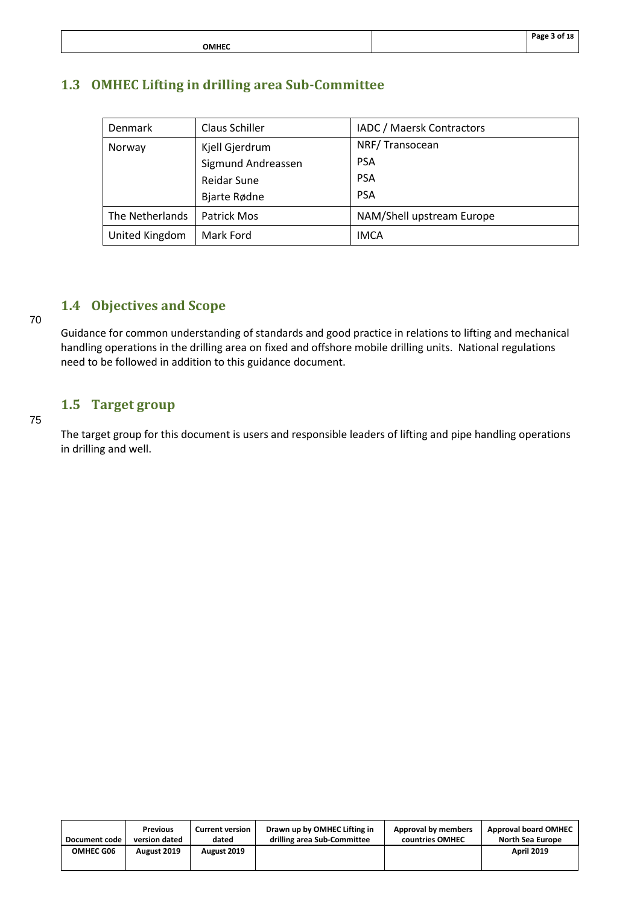|                          | Page 3 of 18 |
|--------------------------|--------------|
| <b>OMHEC</b><br>________ |              |

# <span id="page-4-0"></span>**1.3 OMHEC Lifting in drilling area Sub-Committee**

| Denmark         | Claus Schiller     | IADC / Maersk Contractors |
|-----------------|--------------------|---------------------------|
| Norway          | Kjell Gjerdrum     | NRF/Transocean            |
|                 | Sigmund Andreassen | <b>PSA</b>                |
|                 | <b>Reidar Sune</b> | <b>PSA</b>                |
|                 | Bjarte Rødne       | <b>PSA</b>                |
| The Netherlands | Patrick Mos        | NAM/Shell upstream Europe |
| United Kingdom  | Mark Ford          | <b>IMCA</b>               |

# <span id="page-4-1"></span>**1.4 Objectives and Scope**

Guidance for common understanding of standards and good practice in relations to lifting and mechanical handling operations in the drilling area on fixed and offshore mobile drilling units. National regulations need to be followed in addition to this guidance document.

# <span id="page-4-2"></span>**1.5 Target group**

#### 75

70

The target group for this document is users and responsible leaders of lifting and pipe handling operations in drilling and well.

| Document code    | <b>Previous</b> | <b>Current version</b> | Drawn up by OMHEC Lifting in | Approval by members | <b>Approval board OMHEC</b> |
|------------------|-----------------|------------------------|------------------------------|---------------------|-----------------------------|
|                  | version dated   | dated                  | drilling area Sub-Committee  | countries OMHEC     | <b>North Sea Europe</b>     |
| <b>OMHEC G06</b> | August 2019     | August 2019            |                              |                     | <b>April 2019</b>           |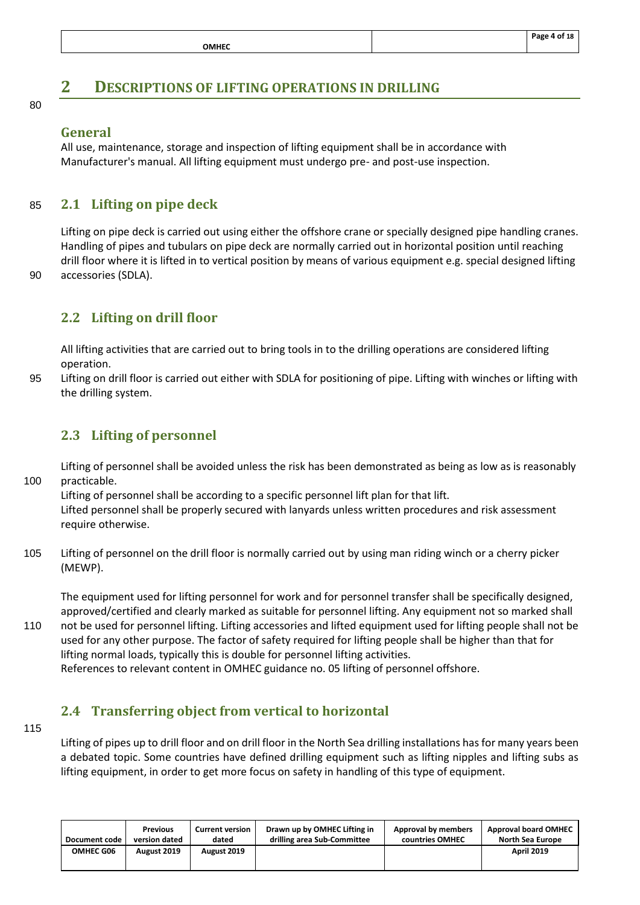# <span id="page-5-0"></span>**2 DESCRIPTIONS OF LIFTING OPERATIONS IN DRILLING**

80

#### **General**

<span id="page-5-1"></span>All use, maintenance, storage and inspection of lifting equipment shall be in accordance with Manufacturer's manual. All lifting equipment must undergo pre- and post-use inspection.

#### 85 **2.1 Lifting on pipe deck**

Lifting on pipe deck is carried out using either the offshore crane or specially designed pipe handling cranes. Handling of pipes and tubulars on pipe deck are normally carried out in horizontal position until reaching drill floor where it is lifted in to vertical position by means of various equipment e.g. special designed lifting 90 accessories (SDLA).

# <span id="page-5-2"></span>**2.2 Lifting on drill floor**

All lifting activities that are carried out to bring tools in to the drilling operations are considered lifting operation.

95 Lifting on drill floor is carried out either with SDLA for positioning of pipe. Lifting with winches or lifting with the drilling system.

# <span id="page-5-3"></span>**2.3 Lifting of personnel**

Lifting of personnel shall be avoided unless the risk has been demonstrated as being as low as is reasonably 100 practicable.

Lifting of personnel shall be according to a specific personnel lift plan for that lift. Lifted personnel shall be properly secured with lanyards unless written procedures and risk assessment require otherwise.

105 Lifting of personnel on the drill floor is normally carried out by using man riding winch or a cherry picker (MEWP).

The equipment used for lifting personnel for work and for personnel transfer shall be specifically designed, approved/certified and clearly marked as suitable for personnel lifting. Any equipment not so marked shall

110 not be used for personnel lifting. Lifting accessories and lifted equipment used for lifting people shall not be used for any other purpose. The factor of safety required for lifting people shall be higher than that for lifting normal loads, typically this is double for personnel lifting activities. References to relevant content in OMHEC guidance no. 05 lifting of personnel offshore.

#### <span id="page-5-4"></span>**2.4 Transferring object from vertical to horizontal**

115

Lifting of pipes up to drill floor and on drill floor in the North Sea drilling installations has for many years been a debated topic. Some countries have defined drilling equipment such as lifting nipples and lifting subs as lifting equipment, in order to get more focus on safety in handling of this type of equipment.

| Document code | <b>Previous</b> | <b>Current version</b> | Drawn up by OMHEC Lifting in | Approval by members | <b>Approval board OMHEC</b> |
|---------------|-----------------|------------------------|------------------------------|---------------------|-----------------------------|
|               | version dated   | dated                  | drilling area Sub-Committee  | countries OMHEC     | North Sea Europe            |
| OMHEC G06     | August 2019     | August 2019            |                              |                     | <b>April 2019</b>           |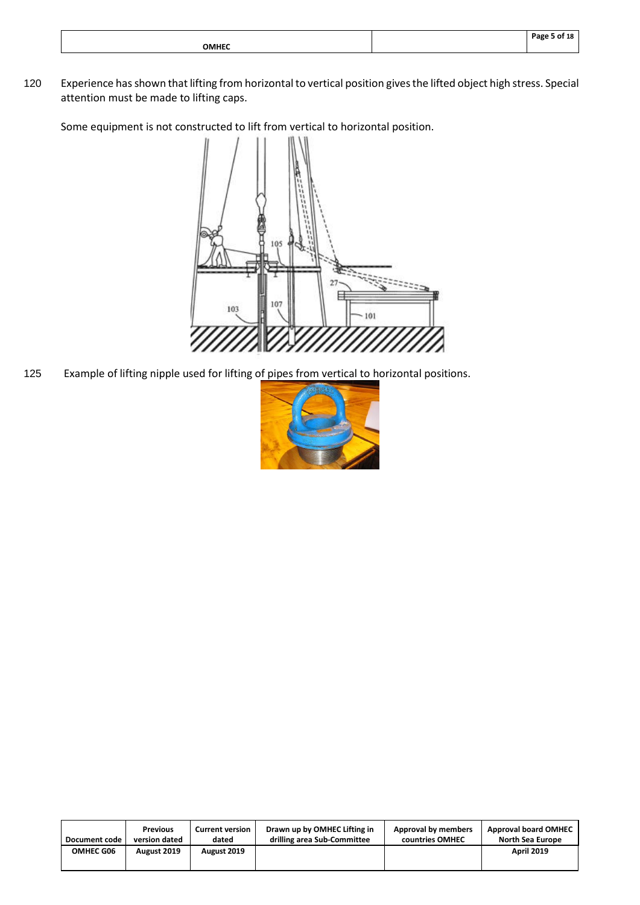|              | Dage<br>18<br>. |
|--------------|-----------------|
| <b>OMHEC</b> |                 |
|              |                 |

120 Experience has shown that lifting from horizontal to vertical position gives the lifted object high stress. Special attention must be made to lifting caps.

Some equipment is not constructed to lift from vertical to horizontal position.



125 Example of lifting nipple used for lifting of pipes from vertical to horizontal positions.



| Document code    | <b>Previous</b> | <b>Current version</b> | Drawn up by OMHEC Lifting in | Approval by members | <b>Approval board OMHEC</b> |
|------------------|-----------------|------------------------|------------------------------|---------------------|-----------------------------|
|                  | version dated   | dated                  | drilling area Sub-Committee  | countries OMHEC     | North Sea Europe            |
| <b>OMHEC G06</b> | August 2019     | August 2019            |                              |                     | <b>April 2019</b>           |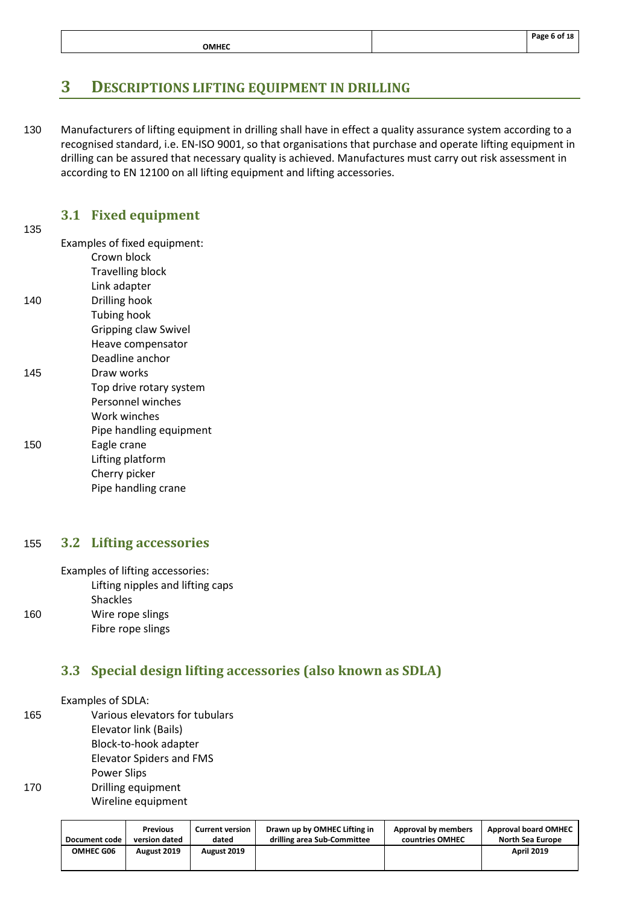|              | Page 6 of 18 |
|--------------|--------------|
| <b>OMHEC</b> |              |

# <span id="page-7-0"></span>**3 DESCRIPTIONS LIFTING EQUIPMENT IN DRILLING**

130 Manufacturers of lifting equipment in drilling shall have in effect a quality assurance system according to a recognised standard, i.e. EN-ISO 9001, so that organisations that purchase and operate lifting equipment in drilling can be assured that necessary quality is achieved. Manufactures must carry out risk assessment in according to EN 12100 on all lifting equipment and lifting accessories.

#### <span id="page-7-1"></span>**3.1 Fixed equipment**

135

Examples of fixed equipment:

- Crown block
- Travelling block
- Link adapter 140 Drilling hook
	- Tubing hook
	- Gripping claw Swivel
	- Heave compensator
	- Deadline anchor
- 145 Draw works
	- Top drive rotary system
		- Personnel winches
		- Work winches
	- Pipe handling equipment
- 150 Eagle crane
	- Lifting platform
		- Cherry picker
			- Pipe handling crane

#### <span id="page-7-2"></span>155 **3.2 Lifting accessories**

Examples of lifting accessories: Lifting nipples and lifting caps **Shackles** 160 Wire rope slings Fibre rope slings

# <span id="page-7-3"></span>**3.3 Special design lifting accessories (also known as SDLA)**

Examples of SDLA:

165 Various elevators for tubulars Elevator link (Bails) Block-to-hook adapter [Elevator Spiders and FMS](https://www.nov.com/Segments/Rig_Systems/Offshore/Handling_Tools/Elevator_Spiders_and_FMS/Elevator_Spiders_and_FMS.aspx)  Power Slips 170 Drilling equipment Wireline equipment

| Document code    | <b>Previous</b> | <b>Current version</b> | Drawn up by OMHEC Lifting in | Approval by members | <b>Approval board OMHEC</b> |
|------------------|-----------------|------------------------|------------------------------|---------------------|-----------------------------|
|                  | version dated   | dated                  | drilling area Sub-Committee  | countries OMHEC     | North Sea Europe            |
| <b>OMHEC G06</b> | August 2019     | August 2019            |                              |                     | <b>April 2019</b>           |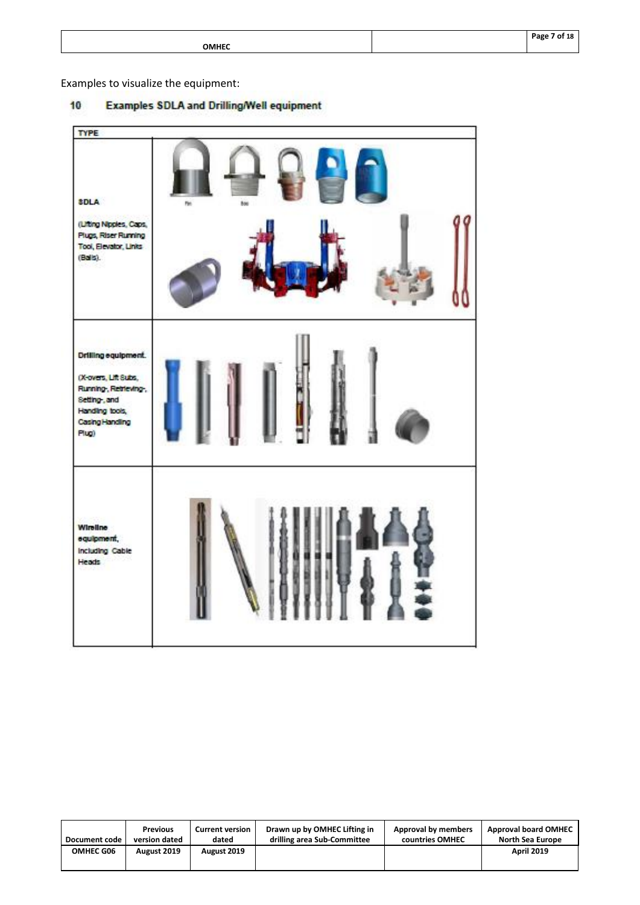| мı<br>٠ |
|---------|
|---------|

**Page 7 of 18**

Examples to visualize the equipment:

#### **Examples SDLA and Drilling/Well equipment**  $10$

| <b>TYPE</b>                                                                                                                       |             |  |
|-----------------------------------------------------------------------------------------------------------------------------------|-------------|--|
| <b>SDLA</b><br>(Liting Nipples, Caps,<br>Plugs, Riser Running<br>Tool, Elevator, Links<br>$(Ba  a)$ .                             | hos<br>Pin. |  |
| Drilling equipment.<br>(X-overs, Lift Subs,<br>Running, Retrieving.<br>Setting-, and<br>Handing tools,<br>Casing Handing<br>Plug) |             |  |
| <b>Wireline</b><br>equipment,<br>Including Cable<br><b>Heads</b>                                                                  |             |  |

| Document code    | <b>Previous</b> | <b>Current version</b> | Drawn up by OMHEC Lifting in | Approval by members | <b>Approval board OMHEC</b> |
|------------------|-----------------|------------------------|------------------------------|---------------------|-----------------------------|
|                  | version dated   | dated                  | drilling area Sub-Committee  | countries OMHEC     | North Sea Europe            |
| <b>OMHEC G06</b> | August 2019     | August 2019            |                              |                     | <b>April 2019</b>           |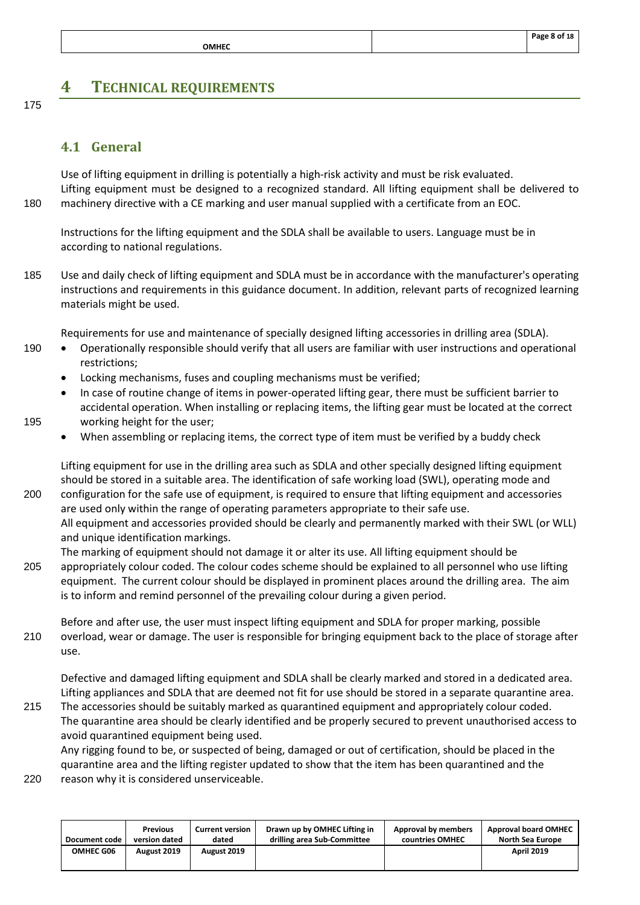# <span id="page-9-0"></span>**4 TECHNICAL REQUIREMENTS**

175

# <span id="page-9-1"></span>**4.1 General**

Use of lifting equipment in drilling is potentially a high-risk activity and must be risk evaluated. Lifting equipment must be designed to a recognized standard. All lifting equipment shall be delivered to 180 machinery directive with a CE marking and user manual supplied with a certificate from an EOC.

Instructions for the lifting equipment and the SDLA shall be available to users. Language must be in according to national regulations.

185 Use and daily check of lifting equipment and SDLA must be in accordance with the manufacturer's operating instructions and requirements in this guidance document. In addition, relevant parts of recognized learning materials might be used.

Requirements for use and maintenance of specially designed lifting accessories in drilling area (SDLA).

- 190 Operationally responsible should verify that all users are familiar with user instructions and operational restrictions;
	- Locking mechanisms, fuses and coupling mechanisms must be verified;
- In case of routine change of items in power-operated lifting gear, there must be sufficient barrier to accidental operation. When installing or replacing items, the lifting gear must be located at the correct 195 working height for the user;
- 
- When assembling or replacing items, the correct type of item must be verified by a buddy check

Lifting equipment for use in the drilling area such as SDLA and other specially designed lifting equipment should be stored in a suitable area. The identification of safe working load (SWL), operating mode and 200 configuration for the safe use of equipment, is required to ensure that lifting equipment and accessories are used only within the range of operating parameters appropriate to their safe use. All equipment and accessories provided should be clearly and permanently marked with their SWL (or WLL) and unique identification markings.

The marking of equipment should not damage it or alter its use. All lifting equipment should be 205 appropriately colour coded. The colour codes scheme should be explained to all personnel who use lifting equipment. The current colour should be displayed in prominent places around the drilling area. The aim

is to inform and remind personnel of the prevailing colour during a given period.

Before and after use, the user must inspect lifting equipment and SDLA for proper marking, possible 210 overload, wear or damage. The user is responsible for bringing equipment back to the place of storage after use.

Defective and damaged lifting equipment and SDLA shall be clearly marked and stored in a dedicated area. Lifting appliances and SDLA that are deemed not fit for use should be stored in a separate quarantine area.

215 The accessories should be suitably marked as quarantined equipment and appropriately colour coded. The quarantine area should be clearly identified and be properly secured to prevent unauthorised access to avoid quarantined equipment being used.

Any rigging found to be, or suspected of being, damaged or out of certification, should be placed in the quarantine area and the lifting register updated to show that the item has been quarantined and the

220 reason why it is considered unserviceable.

| Document code | <b>Previous</b> | <b>Current version</b> | Drawn up by OMHEC Lifting in | Approval by members | <b>Approval board OMHEC</b> |
|---------------|-----------------|------------------------|------------------------------|---------------------|-----------------------------|
|               | version dated   | dated                  | drilling area Sub-Committee  | countries OMHEC     | North Sea Europe            |
| OMHEC G06     | August 2019     | August 2019            |                              |                     | <b>April 2019</b>           |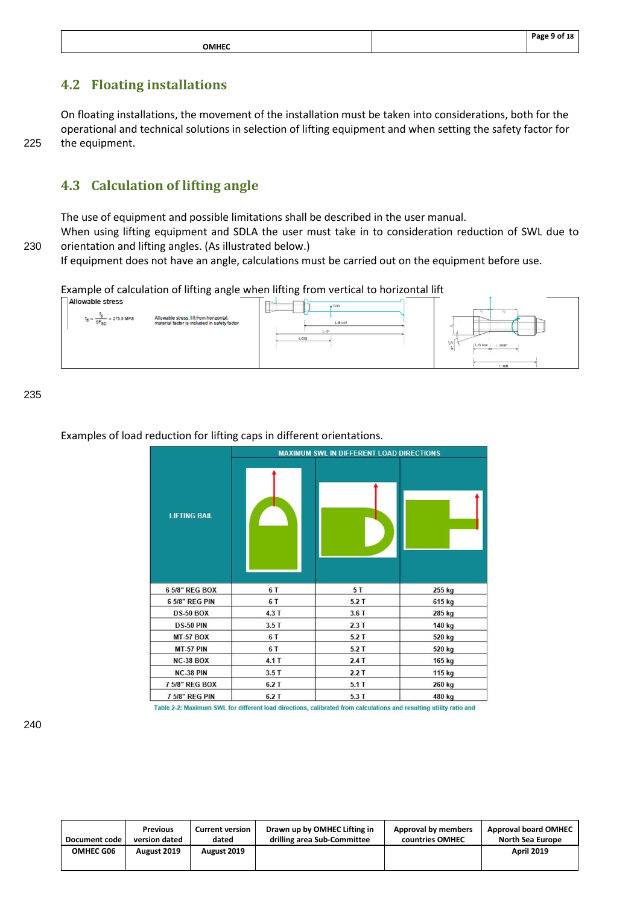|              | Page 9 of 18 |
|--------------|--------------|
| <b>OMHEC</b> |              |

# <span id="page-10-0"></span>**4.2 Floating installations**

On floating installations, the movement of the installation must be taken into considerations, both for the operational and technical solutions in selection of lifting equipment and when setting the safety factor for 225 the equipment.

# <span id="page-10-1"></span>**4.3 Calculation of lifting angle**

The use of equipment and possible limitations shall be described in the user manual.

When using lifting equipment and SDLA the user must take in to consideration reduction of SWL due to 230 orientation and lifting angles. (As illustrated below.)

If equipment does not have an angle, calculations must be carried out on the equipment before use.

Example of calculation of lifting angle when lifting from vertical to horizontal lift<br>  $\sqrt{\frac{2\pi}{n}}$ 



235

#### Examples of load reduction for lifting caps in different orientations.

|                     |      | <b>MAXIMUM SWL IN DIFFERENT LOAD DIRECTIONS</b> |        |
|---------------------|------|-------------------------------------------------|--------|
| <b>LIFTING BAIL</b> |      |                                                 |        |
| 6 5/8" REG BOX      | 6 T  | 5T                                              | 255 kg |
| 6 5/8" REG PIN      | 6 T  | 5.2T                                            | 615 kg |
| <b>DS-50 BOX</b>    | 4.3T | 3.6T                                            | 285 kg |
| <b>DS-50 PIN</b>    | 3.5T | 2.3T                                            | 140 kg |
| <b>MT-57 BOX</b>    | 6 T  | 5.2T                                            | 520 kg |
| <b>MT-57 PIN</b>    | 6 T  | 5.2T                                            | 520 kg |
| <b>NC-38 BOX</b>    | 4.1T | 2.4T                                            | 165 kg |
| NC-38 PIN           | 3.5T | 2.2T                                            | 115 kg |
| 7 5/8" REG BOX      | 6.2T | 5.1T                                            | 260 kg |
| 7 5/8" REG PIN      | 6.2T | 5.3T                                            | 480 kg |

Table 2-2: Maximum SWL for different load directions, calibrated from calculations and resulting utility ratio and

| Document code    | <b>Previous</b> | <b>Current version</b> | Drawn up by OMHEC Lifting in | Approval by members | <b>Approval board OMHEC</b> |
|------------------|-----------------|------------------------|------------------------------|---------------------|-----------------------------|
|                  | version dated   | dated                  | drilling area Sub-Committee  | countries OMHEC     | North Sea Europe            |
| <b>OMHEC G06</b> | August 2019     | August 2019            |                              |                     | <b>April 2019</b>           |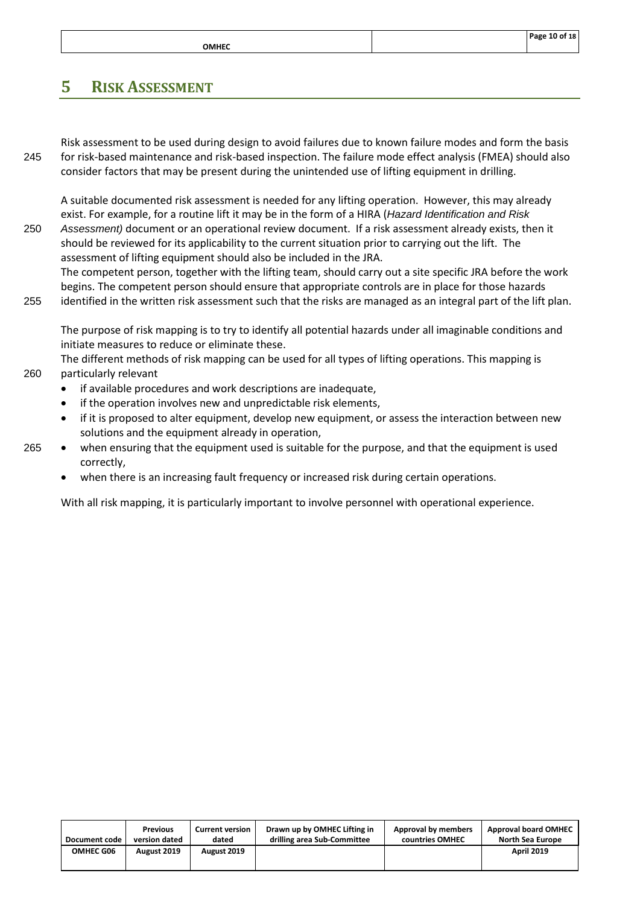|       | Page 10 of 18 |
|-------|---------------|
| OMHEC |               |

# <span id="page-11-0"></span>**5 RISK ASSESSMENT**

Risk assessment to be used during design to avoid failures due to known failure modes and form the basis 245 for risk-based maintenance and risk-based inspection. The failure mode effect analysis (FMEA) should also consider factors that may be present during the unintended use of lifting equipment in drilling.

A suitable documented risk assessment is needed for any lifting operation. However, this may already exist. For example, for a routine lift it may be in the form of a HIRA (*Hazard Identification and Risk*  250 *Assessment)* document or an operational review document. If a risk assessment already exists, then it should be reviewed for its applicability to the current situation prior to carrying out the lift. The assessment of lifting equipment should also be included in the JRA.

The competent person, together with the lifting team, should carry out a site specific JRA before the work begins. The competent person should ensure that appropriate controls are in place for those hazards

255 identified in the written risk assessment such that the risks are managed as an integral part of the lift plan.

The purpose of risk mapping is to try to identify all potential hazards under all imaginable conditions and initiate measures to reduce or eliminate these.

The different methods of risk mapping can be used for all types of lifting operations. This mapping is 260 particularly relevant

- if available procedures and work descriptions are inadequate,
- if the operation involves new and unpredictable risk elements,
- if it is proposed to alter equipment, develop new equipment, or assess the interaction between new solutions and the equipment already in operation,
- 265 when ensuring that the equipment used is suitable for the purpose, and that the equipment is used correctly,
	- when there is an increasing fault frequency or increased risk during certain operations.

With all risk mapping, it is particularly important to involve personnel with operational experience.

| Document code    | <b>Previous</b> | <b>Current version</b> | Drawn up by OMHEC Lifting in | Approval by members | <b>Approval board OMHEC</b> |
|------------------|-----------------|------------------------|------------------------------|---------------------|-----------------------------|
|                  | version dated   | dated                  | drilling area Sub-Committee  | countries OMHEC     | <b>North Sea Europe</b>     |
| <b>OMHEC G06</b> | August 2019     | August 2019            |                              |                     | <b>April 2019</b>           |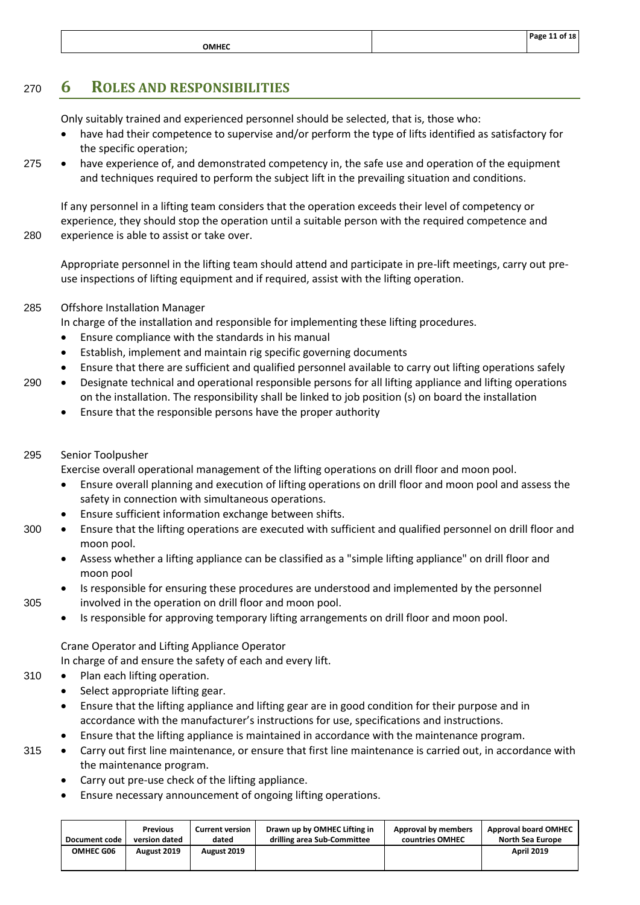|                        | Page 11 of 18 |
|------------------------|---------------|
| <b>OMHEC</b><br>______ |               |

# <span id="page-12-0"></span><sup>270</sup> **6 ROLES AND RESPONSIBILITIES**

Only suitably trained and experienced personnel should be selected, that is, those who:

- have had their competence to supervise and/or perform the type of lifts identified as satisfactory for the specific operation;
- 275 have experience of, and demonstrated competency in, the safe use and operation of the equipment and techniques required to perform the subject lift in the prevailing situation and conditions.

If any personnel in a lifting team considers that the operation exceeds their level of competency or experience, they should stop the operation until a suitable person with the required competence and 280 experience is able to assist or take over.

Appropriate personnel in the lifting team should attend and participate in pre-lift meetings, carry out preuse inspections of lifting equipment and if required, assist with the lifting operation.

#### 285 Offshore Installation Manager

In charge of the installation and responsible for implementing these lifting procedures.

- Ensure compliance with the standards in his manual
- Establish, implement and maintain rig specific governing documents
- Ensure that there are sufficient and qualified personnel available to carry out lifting operations safely
- 290 Designate technical and operational responsible persons for all lifting appliance and lifting operations on the installation. The responsibility shall be linked to job position (s) on board the installation
	- Ensure that the responsible persons have the proper authority
- 295 Senior Toolpusher

Exercise overall operational management of the lifting operations on drill floor and moon pool.

- Ensure overall planning and execution of lifting operations on drill floor and moon pool and assess the safety in connection with simultaneous operations.
- Ensure sufficient information exchange between shifts.
- 300 Ensure that the lifting operations are executed with sufficient and qualified personnel on drill floor and moon pool.
	- Assess whether a lifting appliance can be classified as a "simple lifting appliance" on drill floor and moon pool
- Is responsible for ensuring these procedures are understood and implemented by the personnel 305 involved in the operation on drill floor and moon pool.
	- Is responsible for approving temporary lifting arrangements on drill floor and moon pool.

#### Crane Operator and Lifting Appliance Operator

In charge of and ensure the safety of each and every lift.

- 310 Plan each lifting operation.
	- Select appropriate lifting gear.
	- Ensure that the lifting appliance and lifting gear are in good condition for their purpose and in accordance with the manufacturer's instructions for use, specifications and instructions.
	- Ensure that the lifting appliance is maintained in accordance with the maintenance program.
- 315 Carry out first line maintenance, or ensure that first line maintenance is carried out, in accordance with the maintenance program.
	- Carry out pre-use check of the lifting appliance.
	- Ensure necessary announcement of ongoing lifting operations.

| Document code    | <b>Previous</b> | <b>Current version</b> | Drawn up by OMHEC Lifting in | Approval by members | <b>Approval board OMHEC</b> |
|------------------|-----------------|------------------------|------------------------------|---------------------|-----------------------------|
|                  | version dated   | dated                  | drilling area Sub-Committee  | countries OMHEC     | <b>North Sea Europe</b>     |
| <b>OMHEC G06</b> | August 2019     | August 2019            |                              |                     | <b>April 2019</b>           |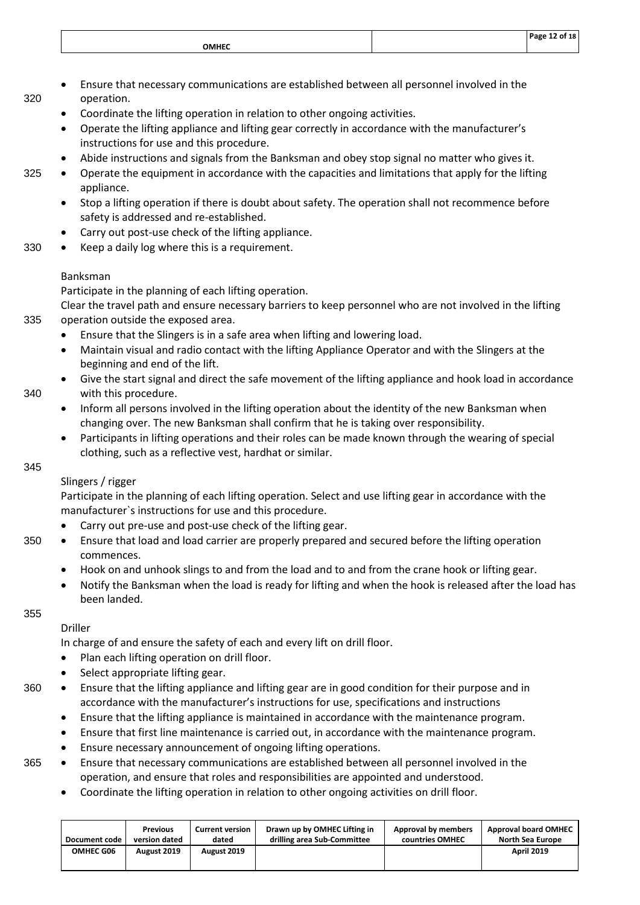|              | Door<br>. 18<br>וח |
|--------------|--------------------|
| <b>OMHEC</b> |                    |
|              |                    |

- Ensure that necessary communications are established between all personnel involved in the 320 operation.
	- Coordinate the lifting operation in relation to other ongoing activities.
	- Operate the lifting appliance and lifting gear correctly in accordance with the manufacturer's instructions for use and this procedure.
	- Abide instructions and signals from the Banksman and obey stop signal no matter who gives it.
- 325 Operate the equipment in accordance with the capacities and limitations that apply for the lifting appliance.
	- Stop a lifting operation if there is doubt about safety. The operation shall not recommence before safety is addressed and re-established.
	- Carry out post-use check of the lifting appliance.
- 330 Keep a daily log where this is a requirement.

#### Banksman

Participate in the planning of each lifting operation.

Clear the travel path and ensure necessary barriers to keep personnel who are not involved in the lifting 335 operation outside the exposed area.

- Ensure that the Slingers is in a safe area when lifting and lowering load.
- Maintain visual and radio contact with the lifting Appliance Operator and with the Slingers at the beginning and end of the lift.
- Give the start signal and direct the safe movement of the lifting appliance and hook load in accordance 340 with this procedure.
	- Inform all persons involved in the lifting operation about the identity of the new Banksman when changing over. The new Banksman shall confirm that he is taking over responsibility.
	- Participants in lifting operations and their roles can be made known through the wearing of special clothing, such as a reflective vest, hardhat or similar.

345

#### Slingers / rigger

Participate in the planning of each lifting operation. Select and use lifting gear in accordance with the manufacturer`s instructions for use and this procedure.

- Carry out pre-use and post-use check of the lifting gear.
- 350 Ensure that load and load carrier are properly prepared and secured before the lifting operation commences.
	- Hook on and unhook slings to and from the load and to and from the crane hook or lifting gear.
	- Notify the Banksman when the load is ready for lifting and when the hook is released after the load has been landed.

355

#### Driller

In charge of and ensure the safety of each and every lift on drill floor.

- Plan each lifting operation on drill floor.
- Select appropriate lifting gear.
- 360 Ensure that the lifting appliance and lifting gear are in good condition for their purpose and in accordance with the manufacturer's instructions for use, specifications and instructions
	- Ensure that the lifting appliance is maintained in accordance with the maintenance program.
	- Ensure that first line maintenance is carried out, in accordance with the maintenance program.
	- Ensure necessary announcement of ongoing lifting operations.
- 365 Ensure that necessary communications are established between all personnel involved in the operation, and ensure that roles and responsibilities are appointed and understood.
	- Coordinate the lifting operation in relation to other ongoing activities on drill floor.

| Document code | <b>Previous</b> | <b>Current version</b> | Drawn up by OMHEC Lifting in | Approval by members | <b>Approval board OMHEC</b> |
|---------------|-----------------|------------------------|------------------------------|---------------------|-----------------------------|
|               | version dated   | dated                  | drilling area Sub-Committee  | countries OMHEC     | North Sea Europe            |
| OMHEC G06     | August 2019     | August 2019            |                              |                     | <b>April 2019</b>           |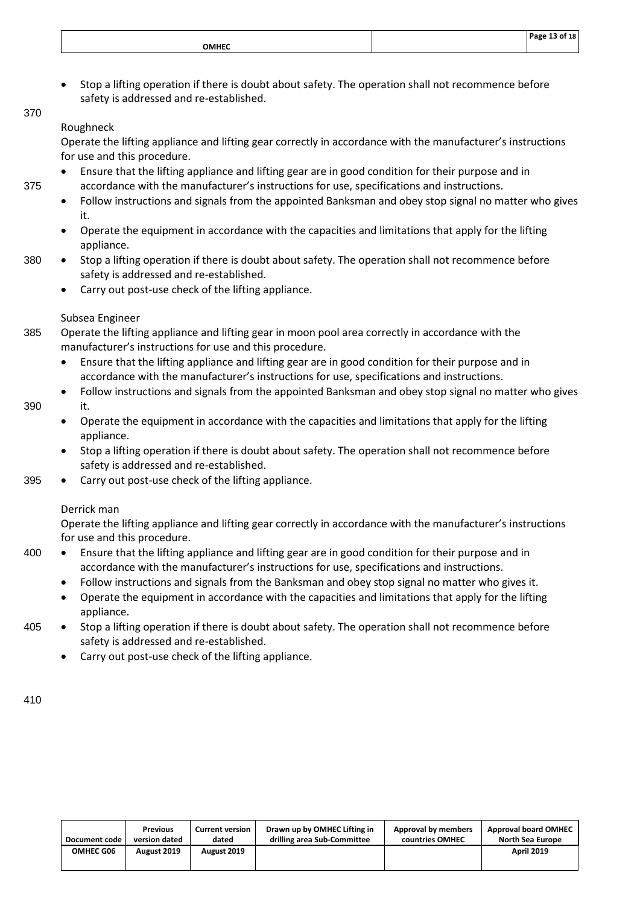| OMHEC |  | of 18<br>. Dogo |
|-------|--|-----------------|
|       |  |                 |

• Stop a lifting operation if there is doubt about safety. The operation shall not recommence before safety is addressed and re-established.

### Roughneck

370

Operate the lifting appliance and lifting gear correctly in accordance with the manufacturer's instructions for use and this procedure.

- Ensure that the lifting appliance and lifting gear are in good condition for their purpose and in 375 accordance with the manufacturer's instructions for use, specifications and instructions.
	- Follow instructions and signals from the appointed Banksman and obey stop signal no matter who gives it.
	- Operate the equipment in accordance with the capacities and limitations that apply for the lifting appliance.
- 380 Stop a lifting operation if there is doubt about safety. The operation shall not recommence before safety is addressed and re-established.
	- Carry out post-use check of the lifting appliance.

#### Subsea Engineer

- 385 Operate the lifting appliance and lifting gear in moon pool area correctly in accordance with the manufacturer's instructions for use and this procedure.
	- Ensure that the lifting appliance and lifting gear are in good condition for their purpose and in accordance with the manufacturer's instructions for use, specifications and instructions.
- Follow instructions and signals from the appointed Banksman and obey stop signal no matter who gives 390 it.
	- Operate the equipment in accordance with the capacities and limitations that apply for the lifting appliance.
	- Stop a lifting operation if there is doubt about safety. The operation shall not recommence before safety is addressed and re-established.
- 395 Carry out post-use check of the lifting appliance.

#### Derrick man

Operate the lifting appliance and lifting gear correctly in accordance with the manufacturer's instructions for use and this procedure.

- 400 Ensure that the lifting appliance and lifting gear are in good condition for their purpose and in accordance with the manufacturer's instructions for use, specifications and instructions.
	- Follow instructions and signals from the Banksman and obey stop signal no matter who gives it.
	- Operate the equipment in accordance with the capacities and limitations that apply for the lifting appliance.
- 405 Stop a lifting operation if there is doubt about safety. The operation shall not recommence before safety is addressed and re-established.
	- Carry out post-use check of the lifting appliance.

| Document code    | <b>Previous</b> | <b>Current version</b> | Drawn up by OMHEC Lifting in | Approval by members | <b>Approval board OMHEC</b> |
|------------------|-----------------|------------------------|------------------------------|---------------------|-----------------------------|
|                  | version dated   | dated                  | drilling area Sub-Committee  | countries OMHEC     | <b>North Sea Europe</b>     |
| <b>OMHEC G06</b> | August 2019     | August 2019            |                              |                     | <b>April 2019</b>           |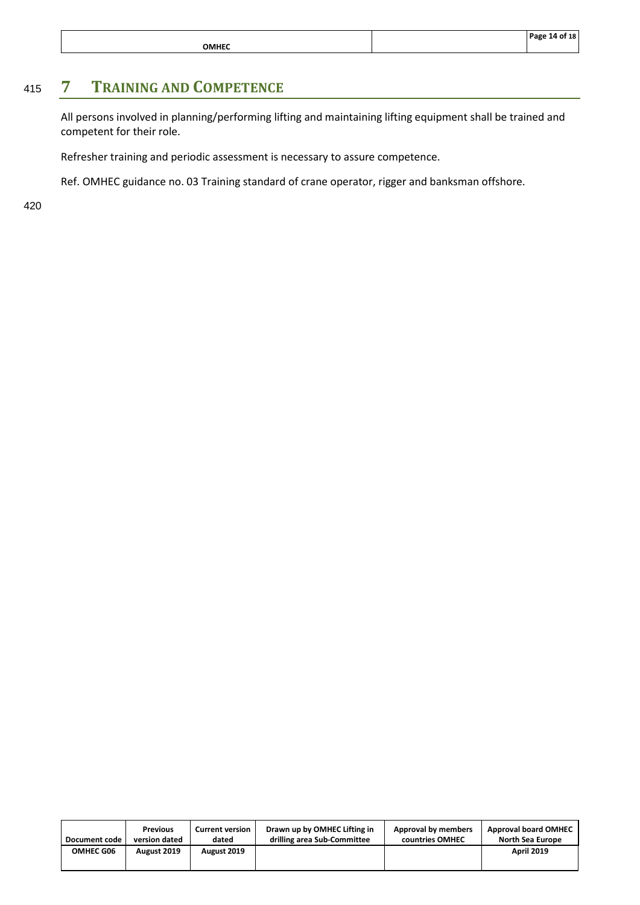|              | Page 14 of 18 |
|--------------|---------------|
| <b>OMHEC</b> |               |

# <sup>415</sup> **7 TRAINING AND COMPETENCE**

<span id="page-15-0"></span>All persons involved in planning/performing lifting and maintaining lifting equipment shall be trained and competent for their role.

Refresher training and periodic assessment is necessary to assure competence.

Ref. OMHEC guidance no. 03 Training standard of crane operator, rigger and banksman offshore.

| Document code    | <b>Previous</b><br>version dated | <b>Current version</b><br>dated | Drawn up by OMHEC Lifting in<br>drilling area Sub-Committee | Approval by members<br>countries OMHEC | <b>Approval board OMHEC</b><br><b>North Sea Europe</b> |
|------------------|----------------------------------|---------------------------------|-------------------------------------------------------------|----------------------------------------|--------------------------------------------------------|
| <b>OMHEC G06</b> | August 2019                      | August 2019                     |                                                             |                                        | <b>April 2019</b>                                      |
|                  |                                  |                                 |                                                             |                                        |                                                        |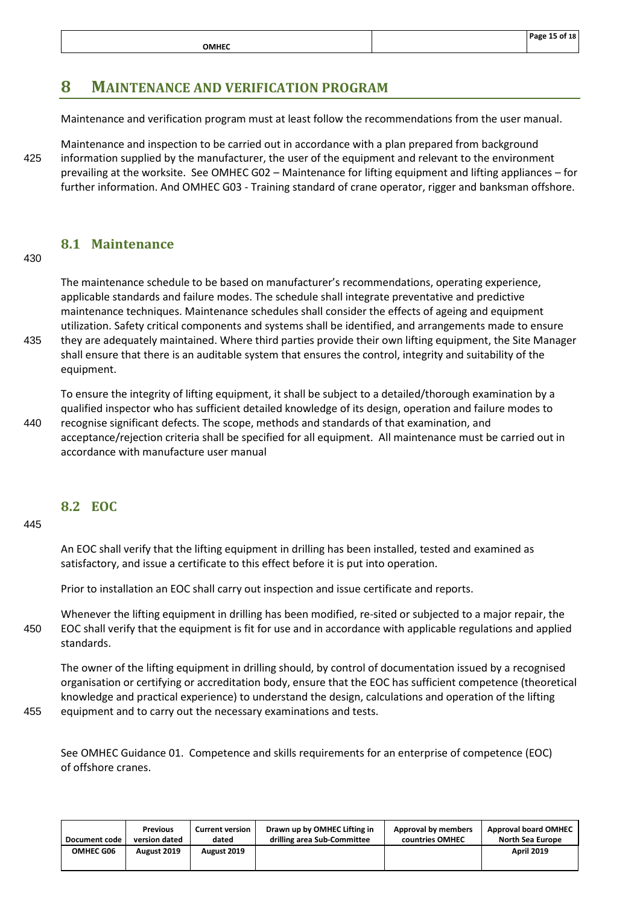#### <span id="page-16-0"></span>**8 MAINTENANCE AND VERIFICATION PROGRAM**

Maintenance and verification program must at least follow the recommendations from the user manual.

Maintenance and inspection to be carried out in accordance with a plan prepared from background 425 information supplied by the manufacturer, the user of the equipment and relevant to the environment prevailing at the worksite. See OMHEC G02 – Maintenance for lifting equipment and lifting appliances – for further information. And OMHEC G03 - Training standard of crane operator, rigger and banksman offshore.

#### <span id="page-16-1"></span>**8.1 Maintenance**

#### 430

The maintenance schedule to be based on manufacturer's recommendations, operating experience, applicable standards and failure modes. The schedule shall integrate preventative and predictive maintenance techniques. Maintenance schedules shall consider the effects of ageing and equipment utilization. Safety critical components and systems shall be identified, and arrangements made to ensure 435 they are adequately maintained. Where third parties provide their own lifting equipment, the Site Manager shall ensure that there is an auditable system that ensures the control, integrity and suitability of the equipment.

To ensure the integrity of lifting equipment, it shall be subject to a detailed/thorough examination by a qualified inspector who has sufficient detailed knowledge of its design, operation and failure modes to 440 recognise significant defects. The scope, methods and standards of that examination, and acceptance/rejection criteria shall be specified for all equipment. All maintenance must be carried out in accordance with manufacture user manual

#### <span id="page-16-2"></span>**8.2 EOC**

445

An EOC shall verify that the lifting equipment in drilling has been installed, tested and examined as satisfactory, and issue a certificate to this effect before it is put into operation.

Prior to installation an EOC shall carry out inspection and issue certificate and reports.

Whenever the lifting equipment in drilling has been modified, re-sited or subjected to a major repair, the 450 EOC shall verify that the equipment is fit for use and in accordance with applicable regulations and applied standards.

The owner of the lifting equipment in drilling should, by control of documentation issued by a recognised organisation or certifying or accreditation body, ensure that the EOC has sufficient competence (theoretical knowledge and practical experience) to understand the design, calculations and operation of the lifting 455 equipment and to carry out the necessary examinations and tests.

See OMHEC Guidance 01. Competence and skills requirements for an enterprise of competence (EOC) of offshore cranes.

| Document code | <b>Previous</b> | <b>Current version</b> | Drawn up by OMHEC Lifting in | Approval by members | <b>Approval board OMHEC</b> |
|---------------|-----------------|------------------------|------------------------------|---------------------|-----------------------------|
|               | version dated   | dated                  | drilling area Sub-Committee  | countries OMHEC     | North Sea Europe            |
| OMHEC G06     | August 2019     | August 2019            |                              |                     | <b>April 2019</b>           |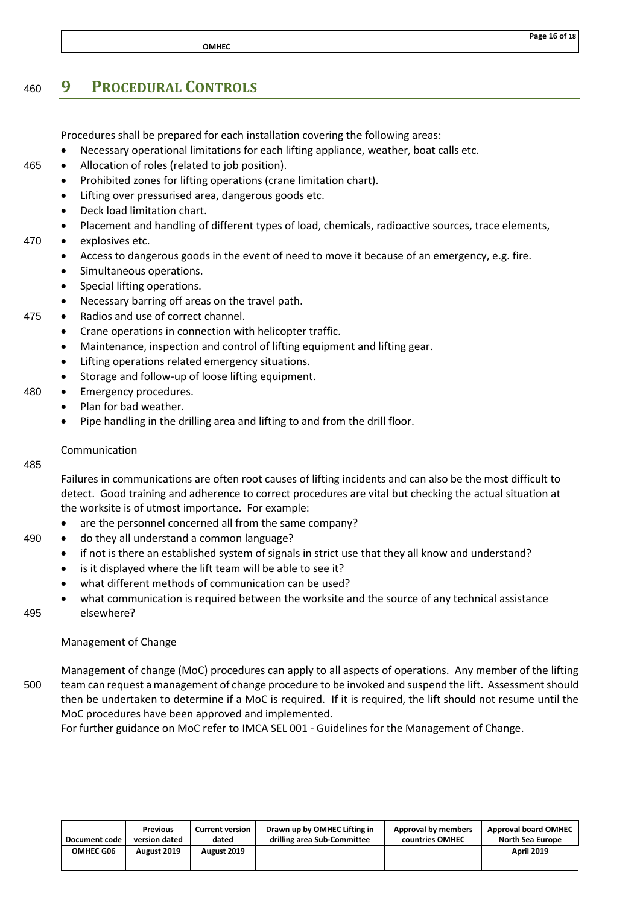|             | מס פני<br>18 |
|-------------|--------------|
| <br>_______ |              |
|             |              |

# <span id="page-17-0"></span><sup>460</sup> **9 PROCEDURAL CONTROLS**

Procedures shall be prepared for each installation covering the following areas:

- Necessary operational limitations for each lifting appliance, weather, boat calls etc.
- 465 Allocation of roles (related to job position).
	- Prohibited zones for lifting operations (crane limitation chart).
		- Lifting over pressurised area, dangerous goods etc.
		- Deck load limitation chart.
	- Placement and handling of different types of load, chemicals, radioactive sources, trace elements,

#### 470 • explosives etc.

- Access to dangerous goods in the event of need to move it because of an emergency, e.g. fire.
- Simultaneous operations.
- Special lifting operations.
- Necessary barring off areas on the travel path.
- 475 Radios and use of correct channel.
	- Crane operations in connection with helicopter traffic.
	- Maintenance, inspection and control of lifting equipment and lifting gear.
	- Lifting operations related emergency situations.
	- Storage and follow-up of loose lifting equipment.
- 480 Emergency procedures.
	- Plan for bad weather.
	- Pipe handling in the drilling area and lifting to and from the drill floor.

#### Communication

#### 485

Failures in communications are often root causes of lifting incidents and can also be the most difficult to detect. Good training and adherence to correct procedures are vital but checking the actual situation at the worksite is of utmost importance. For example:

- are the personnel concerned all from the same company?
- 490 do they all understand a common language?
	- if not is there an established system of signals in strict use that they all know and understand?
	- is it displayed where the lift team will be able to see it?
	- what different methods of communication can be used?
- what communication is required between the worksite and the source of any technical assistance 495 elsewhere?
- 

#### Management of Change

Management of change (MoC) procedures can apply to all aspects of operations. Any member of the lifting 500 team can request a management of change procedure to be invoked and suspend the lift. Assessment should then be undertaken to determine if a MoC is required. If it is required, the lift should not resume until the MoC procedures have been approved and implemented.

For further guidance on MoC refer to IMCA SEL 001 - [Guidelines for the Management of Change.](http://www.imca-int.com/media/74095/imcasel001.pdf)

| Document code    | <b>Previous</b> | <b>Current version</b> | Drawn up by OMHEC Lifting in | Approval by members | <b>Approval board OMHEC</b> |
|------------------|-----------------|------------------------|------------------------------|---------------------|-----------------------------|
|                  | version dated   | dated                  | drilling area Sub-Committee  | countries OMHEC     | <b>North Sea Europe</b>     |
| <b>OMHEC G06</b> | August 2019     | August 2019            |                              |                     | <b>April 2019</b>           |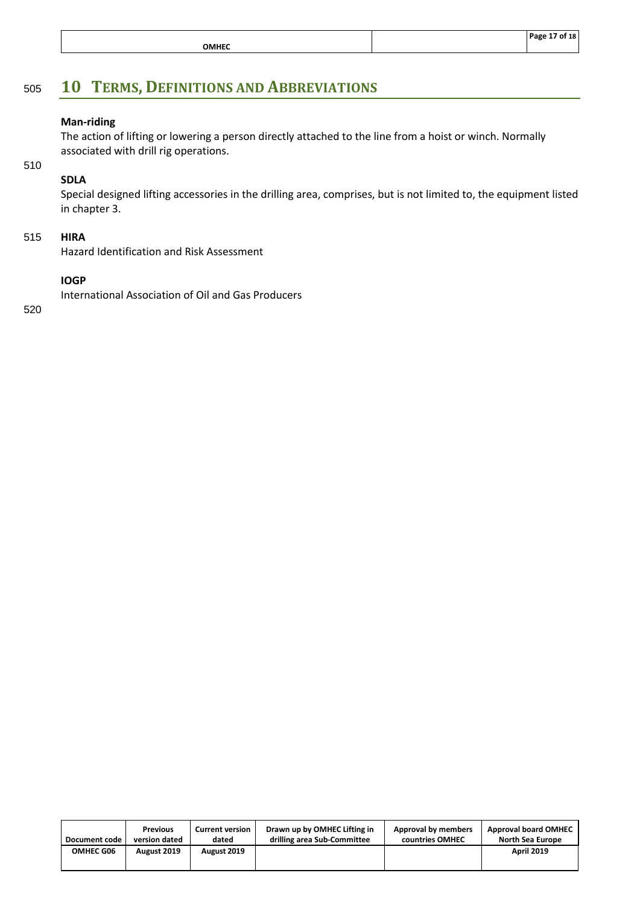|              | 18<br>דה<br>. |
|--------------|---------------|
| <b>OMHEC</b> |               |
|              |               |

# <span id="page-18-0"></span><sup>505</sup> **10 TERMS, DEFINITIONS AND ABBREVIATIONS**

#### **Man-riding**

The action of lifting or lowering a person directly attached to the line from a hoist or winch. Normally associated with drill rig operations.

510

# **SDLA**

Special designed lifting accessories in the drilling area, comprises, but is not limited to, the equipment listed in chapter 3.

#### 515 **HIRA**

Hazard Identification and Risk Assessment

#### **IOGP**

International Association of Oil and Gas Producers

| Document code | <b>Previous</b> | <b>Current version</b> | Drawn up by OMHEC Lifting in | Approval by members | <b>Approval board OMHEC</b> |
|---------------|-----------------|------------------------|------------------------------|---------------------|-----------------------------|
|               | version dated   | dated                  | drilling area Sub-Committee  | countries OMHEC     | North Sea Europe            |
| OMHEC G06     | August 2019     | August 2019            |                              |                     | <b>April 2019</b>           |